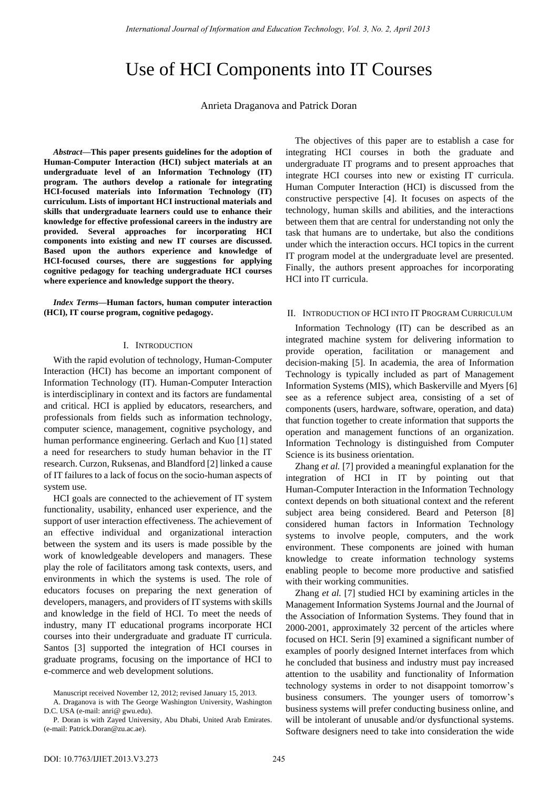# Use of HCI Components into IT Courses

Anrieta Draganova and Patrick Doran

*Abstract***—This paper presents guidelines for the adoption of Human-Computer Interaction (HCI) subject materials at an undergraduate level of an Information Technology (IT) program. The authors develop a rationale for integrating HCI-focused materials into Information Technology (IT) curriculum. Lists of important HCI instructional materials and skills that undergraduate learners could use to enhance their knowledge for effective professional careers in the industry are provided. Several approaches for incorporating HCI components into existing and new IT courses are discussed. Based upon the authors experience and knowledge of HCI-focused courses, there are suggestions for applying cognitive pedagogy for teaching undergraduate HCI courses where experience and knowledge support the theory.** 

*Index Terms***—Human factors, human computer interaction (HCI), IT course program, cognitive pedagogy.** 

## I. INTRODUCTION

With the rapid evolution of technology, Human-Computer Interaction (HCI) has become an important component of Information Technology (IT). Human-Computer Interaction is interdisciplinary in context and its factors are fundamental and critical. HCI is applied by educators, researchers, and professionals from fields such as information technology, computer science, management, cognitive psychology, and human performance engineering. Gerlach and Kuo [1] stated a need for researchers to study human behavior in the IT research. Curzon, Ruksenas, and Blandford [2] linked a cause of IT failures to a lack of focus on the socio-human aspects of system use.

HCI goals are connected to the achievement of IT system functionality, usability, enhanced user experience, and the support of user interaction effectiveness. The achievement of an effective individual and organizational interaction between the system and its users is made possible by the work of knowledgeable developers and managers. These play the role of facilitators among task contexts, users, and environments in which the systems is used. The role of educators focuses on preparing the next generation of developers, managers, and providers of IT systems with skills and knowledge in the field of HCI. To meet the needs of industry, many IT educational programs incorporate HCI courses into their undergraduate and graduate IT curricula. Santos [3] supported the integration of HCI courses in graduate programs, focusing on the importance of HCI to e-commerce and web development solutions.

The objectives of this paper are to establish a case for integrating HCI courses in both the graduate and undergraduate IT programs and to present approaches that integrate HCI courses into new or existing IT curricula. Human Computer Interaction (HCI) is discussed from the constructive perspective [4]. It focuses on aspects of the technology, human skills and abilities, and the interactions between them that are central for understanding not only the task that humans are to undertake, but also the conditions under which the interaction occurs. HCI topics in the current IT program model at the undergraduate level are presented. Finally, the authors present approaches for incorporating HCI into IT curricula.

## II. INTRODUCTION OF HCI INTO IT PROGRAM CURRICULUM

Information Technology (IT) can be described as an integrated machine system for delivering information to provide operation, facilitation or management and decision-making [5]. In academia, the area of Information Technology is typically included as part of Management Information Systems (MIS), which Baskerville and Myers [6] see as a reference subject area, consisting of a set of components (users, hardware, software, operation, and data) that function together to create information that supports the operation and management functions of an organization. Information Technology is distinguished from Computer Science is its business orientation.

Zhang *et al.* [7] provided a meaningful explanation for the integration of HCI in IT by pointing out that Human-Computer Interaction in the Information Technology context depends on both situational context and the referent subject area being considered. Beard and Peterson [8] considered human factors in Information Technology systems to involve people, computers, and the work environment. These components are joined with human knowledge to create information technology systems enabling people to become more productive and satisfied with their working communities.

Zhang *et al.* [7] studied HCI by examining articles in the Management Information Systems Journal and the Journal of the Association of Information Systems. They found that in 2000-2001, approximately 32 percent of the articles where focused on HCI. Serin [9] examined a significant number of examples of poorly designed Internet interfaces from which he concluded that business and industry must pay increased attention to the usability and functionality of Information technology systems in order to not disappoint tomorrow's business consumers. The younger users of tomorrow's business systems will prefer conducting business online, and will be intolerant of unusable and/or dysfunctional systems. Software designers need to take into consideration the wide

Manuscript received November 12, 2012; revised January 15, 2013.

A. Draganova is with The George Washington University, Washington

D.C. USA (e-mail: anri@ gwu.edu). P. Doran is with Zayed University, Abu Dhabi, United Arab Emirates. (e-mail: Patrick.Doran@zu.ac.ae).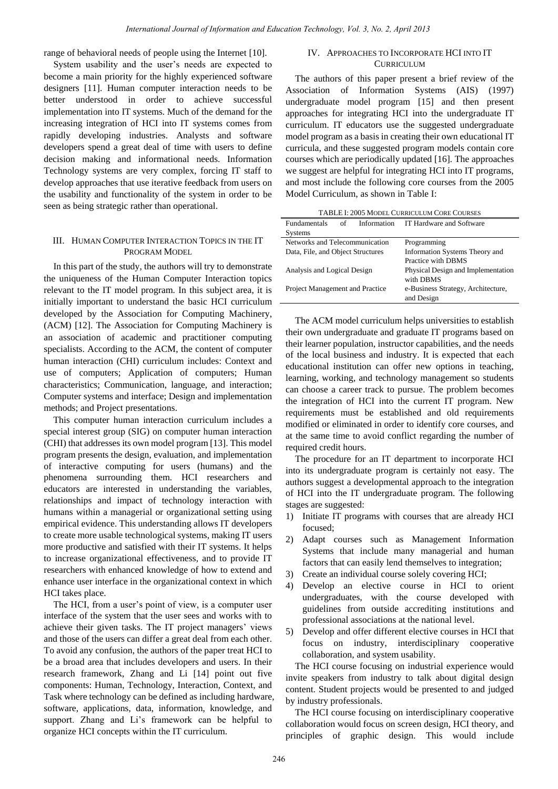range of behavioral needs of people using the Internet [10].

System usability and the user's needs are expected to become a main priority for the highly experienced software designers [11]. Human computer interaction needs to be better understood in order to achieve successful implementation into IT systems. Much of the demand for the increasing integration of HCI into IT systems comes from rapidly developing industries. Analysts and software developers spend a great deal of time with users to define decision making and informational needs. Information Technology systems are very complex, forcing IT staff to develop approaches that use iterative feedback from users on the usability and functionality of the system in order to be seen as being strategic rather than operational.

# III. HUMAN COMPUTER INTERACTION TOPICS IN THE IT PROGRAM MODEL

In this part of the study, the authors will try to demonstrate the uniqueness of the Human Computer Interaction topics relevant to the IT model program. In this subject area, it is initially important to understand the basic HCI curriculum developed by the Association for Computing Machinery, (ACM) [12]. The Association for Computing Machinery is an association of academic and practitioner computing specialists. According to the ACM, the content of computer human interaction (CHI) curriculum includes: Context and use of computers; Application of computers; Human characteristics; Communication, language, and interaction; Computer systems and interface; Design and implementation methods; and Project presentations.

This computer human interaction curriculum includes a special interest group (SIG) on computer human interaction (CHI) that addresses its own model program [13]. This model program presents the design, evaluation, and implementation of interactive computing for users (humans) and the phenomena surrounding them. HCI researchers and educators are interested in understanding the variables, relationships and impact of technology interaction with humans within a managerial or organizational setting using empirical evidence. This understanding allows IT developers to create more usable technological systems, making IT users more productive and satisfied with their IT systems. It helps to increase organizational effectiveness, and to provide IT researchers with enhanced knowledge of how to extend and enhance user interface in the organizational context in which HCI takes place.

The HCI, from a user's point of view, is a computer user interface of the system that the user sees and works with to achieve their given tasks. The IT project managers' views and those of the users can differ a great deal from each other. To avoid any confusion, the authors of the paper treat HCI to be a broad area that includes developers and users. In their research framework, Zhang and Li [14] point out five components: Human, Technology, Interaction, Context, and Task where technology can be defined as including hardware, software, applications, data, information, knowledge, and support. Zhang and Li's framework can be helpful to organize HCI concepts within the IT curriculum.

### IV. APPROACHES TO INCORPORATE HCI INTO IT **CURRICULUM**

The authors of this paper present a brief review of the Association of Information Systems (AIS) (1997) undergraduate model program [15] and then present approaches for integrating HCI into the undergraduate IT curriculum. IT educators use the suggested undergraduate model program as a basis in creating their own educational IT curricula, and these suggested program models contain core courses which are periodically updated [16]. The approaches we suggest are helpful for integrating HCI into IT programs, and most include the following core courses from the 2005 Model Curriculum, as shown in Table I:

| <b>TABLE I: 2005 MODEL CURRICULUM CORE COURSES</b> |  |                                      |
|----------------------------------------------------|--|--------------------------------------|
| <b>Fundamentals</b><br>of                          |  | Information IT Hardware and Software |
| <b>Systems</b>                                     |  |                                      |
| Networks and Telecommunication                     |  | Programming                          |
| Data, File, and Object Structures                  |  | Information Systems Theory and       |
|                                                    |  | Practice with DBMS                   |
| Analysis and Logical Design                        |  | Physical Design and Implementation   |
|                                                    |  | with DBMS                            |
| Project Management and Practice                    |  | e-Business Strategy, Architecture,   |
|                                                    |  | and Design                           |

The ACM model curriculum helps universities to establish their own undergraduate and graduate IT programs based on their learner population, instructor capabilities, and the needs of the local business and industry. It is expected that each educational institution can offer new options in teaching, learning, working, and technology management so students can choose a career track to pursue. The problem becomes the integration of HCI into the current IT program. New requirements must be established and old requirements modified or eliminated in order to identify core courses, and at the same time to avoid conflict regarding the number of required credit hours.

The procedure for an IT department to incorporate HCI into its undergraduate program is certainly not easy. The authors suggest a developmental approach to the integration of HCI into the IT undergraduate program. The following stages are suggested:

- 1) Initiate IT programs with courses that are already HCI focused;
- 2) Adapt courses such as Management Information Systems that include many managerial and human factors that can easily lend themselves to integration;
- 3) Create an individual course solely covering HCI;
- 4) Develop an elective course in HCI to orient undergraduates, with the course developed with guidelines from outside accrediting institutions and professional associations at the national level.
- 5) Develop and offer different elective courses in HCI that focus on industry, interdisciplinary cooperative collaboration, and system usability.

The HCI course focusing on industrial experience would invite speakers from industry to talk about digital design content. Student projects would be presented to and judged by industry professionals.

The HCI course focusing on interdisciplinary cooperative collaboration would focus on screen design, HCI theory, and principles of graphic design. This would include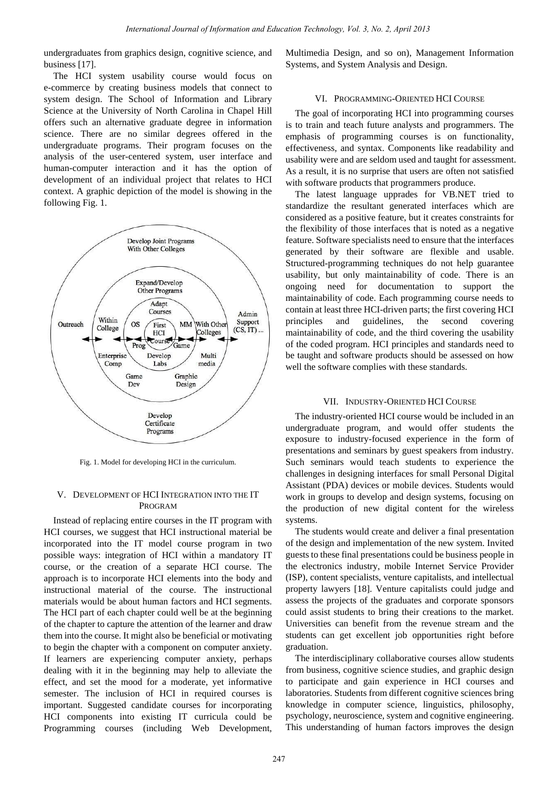undergraduates from graphics design, cognitive science, and business [17].

The HCI system usability course would focus on e-commerce by creating business models that connect to system design. The School of Information and Library Science at the University of North Carolina in Chapel Hill offers such an alternative graduate degree in information science. There are no similar degrees offered in the undergraduate programs. Their program focuses on the analysis of the user-centered system, user interface and human-computer interaction and it has the option of development of an individual project that relates to HCI context. A graphic depiction of the model is showing in the following Fig. 1.



Fig. 1. Model for developing HCI in the curriculum.

### V. DEVELOPMENT OF HCI INTEGRATION INTO THE IT PROGRAM

Instead of replacing entire courses in the IT program with HCI courses, we suggest that HCI instructional material be incorporated into the IT model course program in two possible ways: integration of HCI within a mandatory IT course, or the creation of a separate HCI course. The approach is to incorporate HCI elements into the body and instructional material of the course. The instructional materials would be about human factors and HCI segments. The HCI part of each chapter could well be at the beginning of the chapter to capture the attention of the learner and draw them into the course. It might also be beneficial or motivating to begin the chapter with a component on computer anxiety. If learners are experiencing computer anxiety, perhaps dealing with it in the beginning may help to alleviate the effect, and set the mood for a moderate, yet informative semester. The inclusion of HCI in required courses is important. Suggested candidate courses for incorporating HCI components into existing IT curricula could be Programming courses (including Web Development, Multimedia Design, and so on), Management Information Systems, and System Analysis and Design.

### VI. PROGRAMMING-ORIENTED HCI COURSE

The goal of incorporating HCI into programming courses is to train and teach future analysts and programmers. The emphasis of programming courses is on functionality, effectiveness, and syntax. Components like readability and usability were and are seldom used and taught for assessment. As a result, it is no surprise that users are often not satisfied with software products that programmers produce.

The latest language upprades for VB.NET tried to standardize the resultant generated interfaces which are considered as a positive feature, but it creates constraints for the flexibility of those interfaces that is noted as a negative feature. Software specialists need to ensure that the interfaces generated by their software are flexible and usable. Structured-programming techniques do not help guarantee usability, but only maintainability of code. There is an ongoing need for documentation to support the maintainability of code. Each programming course needs to contain at least three HCI-driven parts; the first covering HCI principles and guidelines, the second covering maintainability of code, and the third covering the usability of the coded program. HCI principles and standards need to be taught and software products should be assessed on how well the software complies with these standards.

#### VII. INDUSTRY-ORIENTED HCI COURSE

The industry-oriented HCI course would be included in an undergraduate program, and would offer students the exposure to industry-focused experience in the form of presentations and seminars by guest speakers from industry. Such seminars would teach students to experience the challenges in designing interfaces for small Personal Digital Assistant (PDA) devices or mobile devices. Students would work in groups to develop and design systems, focusing on the production of new digital content for the wireless systems.

The students would create and deliver a final presentation of the design and implementation of the new system. Invited guests to these final presentations could be business people in the electronics industry, mobile Internet Service Provider (ISP), content specialists, venture capitalists, and intellectual property lawyers [18]. Venture capitalists could judge and assess the projects of the graduates and corporate sponsors could assist students to bring their creations to the market. Universities can benefit from the revenue stream and the students can get excellent job opportunities right before graduation.

The interdisciplinary collaborative courses allow students from business, cognitive science studies, and graphic design to participate and gain experience in HCI courses and laboratories. Students from different cognitive sciences bring knowledge in computer science, linguistics, philosophy, psychology, neuroscience, system and cognitive engineering. This understanding of human factors improves the design